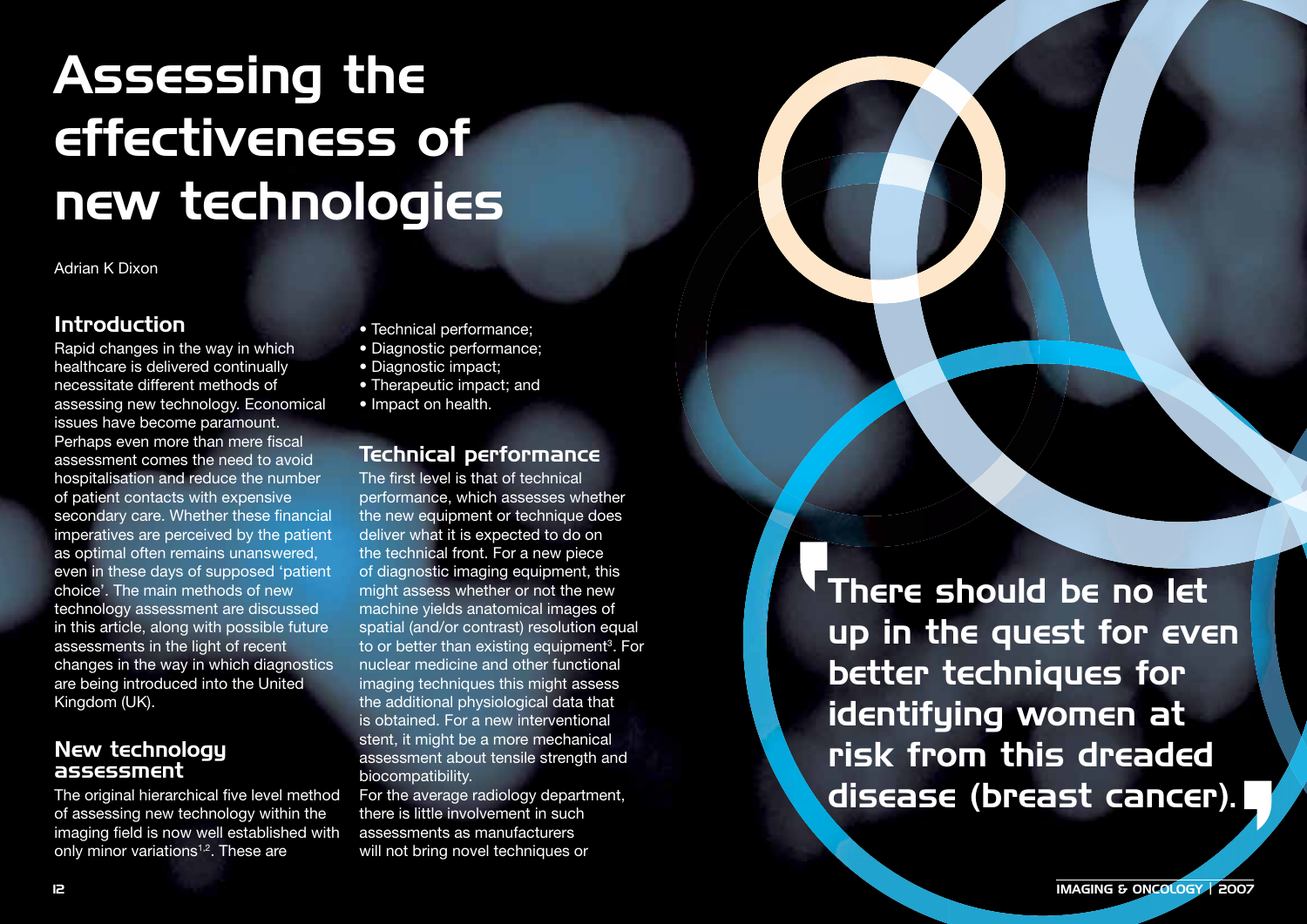# Assessing the effectiveness of new technologies

Adrian K Dixon

#### Introduction

Rapid changes in the way in which healthcare is delivered continually necessitate different methods of assessing new technology. Economical issues have become paramount. Perhaps even more than mere fiscal assessment comes the need to avoid hospitalisation and reduce the number of patient contacts with expensive secondary care. Whether these financial imperatives are perceived by the patient as optimal often remains unanswered, even in these days of supposed 'patient choice'. The main methods of new technology assessment are discussed in this article, along with possible future assessments in the light of recent changes in the way in which diagnostics are being introduced into the United Kingdom (UK).

#### New technology assessment

The original hierarchical five level method of assessing new technology within the imaging field is now well established with only minor variations<sup>1,2</sup>. These are

- Technical performance;
- Diagnostic performance;
- Diagnostic impact;
- Therapeutic impact; and
- Impact on health.

#### Technical performance

The first level is that of technical performance, which assesses whether the new equipment or technique does deliver what it is expected to do on the technical front. For a new piece of diagnostic imaging equipment, this might assess whether or not the new machine yields anatomical images of spatial (and/or contrast) resolution equal to or better than existing equipment<sup>3</sup>. For nuclear medicine and other functional imaging techniques this might assess the additional physiological data that is obtained. For a new interventional stent, it might be a more mechanical assessment about tensile strength and biocompatibility.

For the average radiology department. there is little involvement in such assessments as manufacturers will not bring novel techniques or

There should be no let up in the quest for even better techniques for identifying women at risk from this dreaded disease (breast cancer).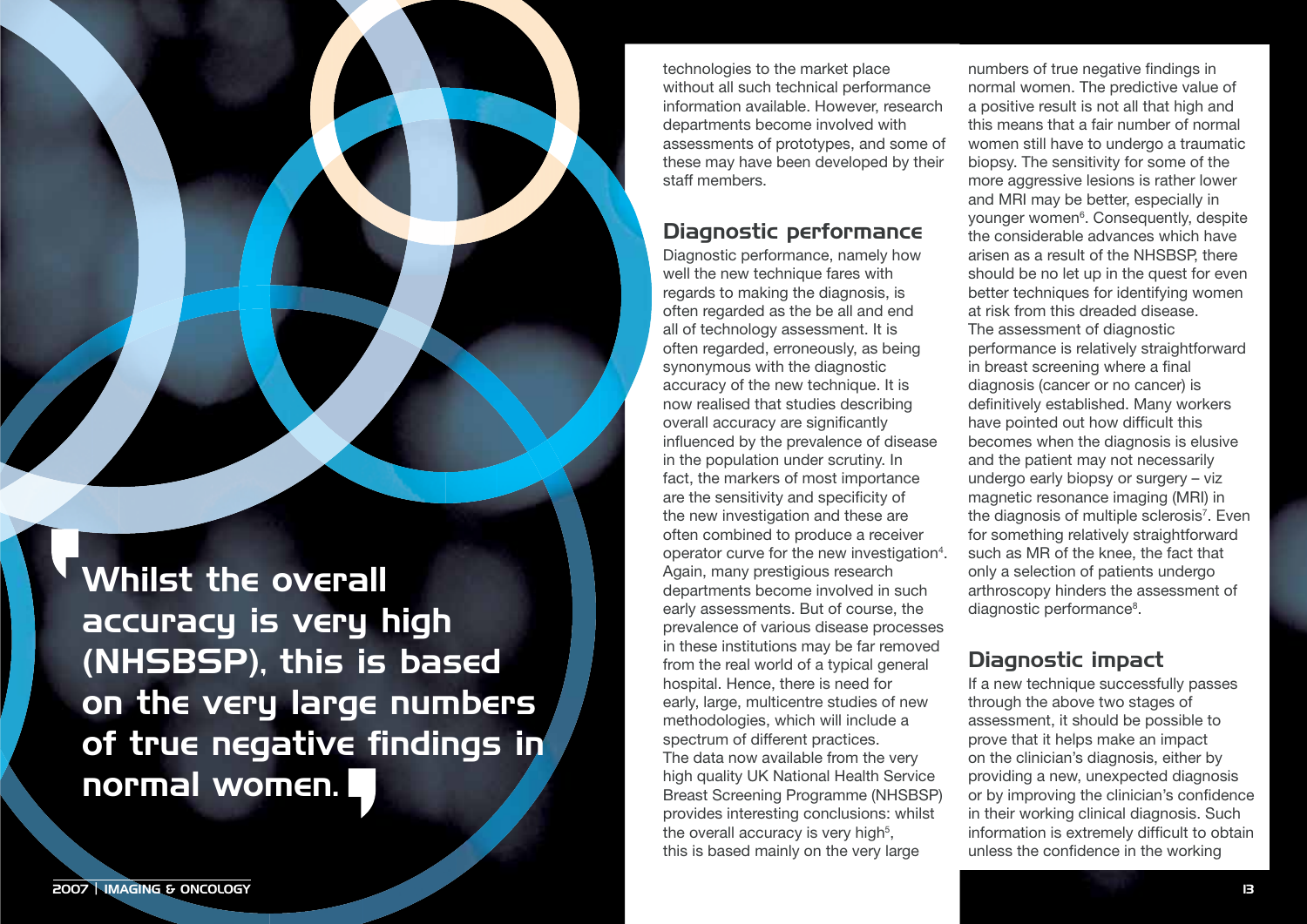Whilst the overall accuracy is very high (NHSBSP), this is based on the very large numbers of true negative findings in normal women.

technologies to the market place without all such technical performance information available. However, research departments become involved with assessments of prototypes, and some of these may have been developed by their staff members.

# Diagnostic performance

Diagnostic performance, namely how well the new technique fares with regards to making the diagnosis, is often regarded as the be all and end all of technology assessment. It is often regarded, erroneously, as being synonymous with the diagnostic accuracy of the new technique. It is now realised that studies describing overall accuracy are significantly influenced by the prevalence of disease in the population under scrutiny. In fact, the markers of most importance are the sensitivity and specificity of the new investigation and these are often combined to produce a receiver operator curve for the new investigation<sup>4</sup>. Again, many prestigious research departments become involved in such early assessments. But of course, the prevalence of various disease processes in these institutions may be far removed from the real world of a typical general hospital. Hence, there is need for early, large, multicentre studies of new methodologies, which will include a spectrum of different practices. The data now available from the very high quality UK National Health Service Breast Screening Programme (NHSBSP) provides interesting conclusions: whilst the overall accuracy is very high<sup>5</sup>, this is based mainly on the very large

numbers of true negative findings in normal women. The predictive value of a positive result is not all that high and this means that a fair number of normal women still have to undergo a traumatic biopsy. The sensitivity for some of the more aggressive lesions is rather lower and MRI may be better, especially in younger women<sup>6</sup>. Consequently, despite the considerable advances which have arisen as a result of the NHSBSP, there should be no let up in the quest for even better techniques for identifying women at risk from this dreaded disease. The assessment of diagnostic performance is relatively straightforward in breast screening where a final diagnosis (cancer or no cancer) is definitively established. Many workers have pointed out how difficult this becomes when the diagnosis is elusive and the patient may not necessarily undergo early biopsy or surgery – viz magnetic resonance imaging (MRI) in the diagnosis of multiple sclerosis<sup>7</sup>. Even for something relatively straightforward such as MR of the knee, the fact that only a selection of patients undergo arthroscopy hinders the assessment of diagnostic performance<sup>8</sup>.

## Diagnostic impact

If a new technique successfully passes through the above two stages of assessment, it should be possible to prove that it helps make an impact on the clinician's diagnosis, either by providing a new, unexpected diagnosis or by improving the clinician's confidence in their working clinical diagnosis. Such information is extremely difficult to obtain unless the confidence in the working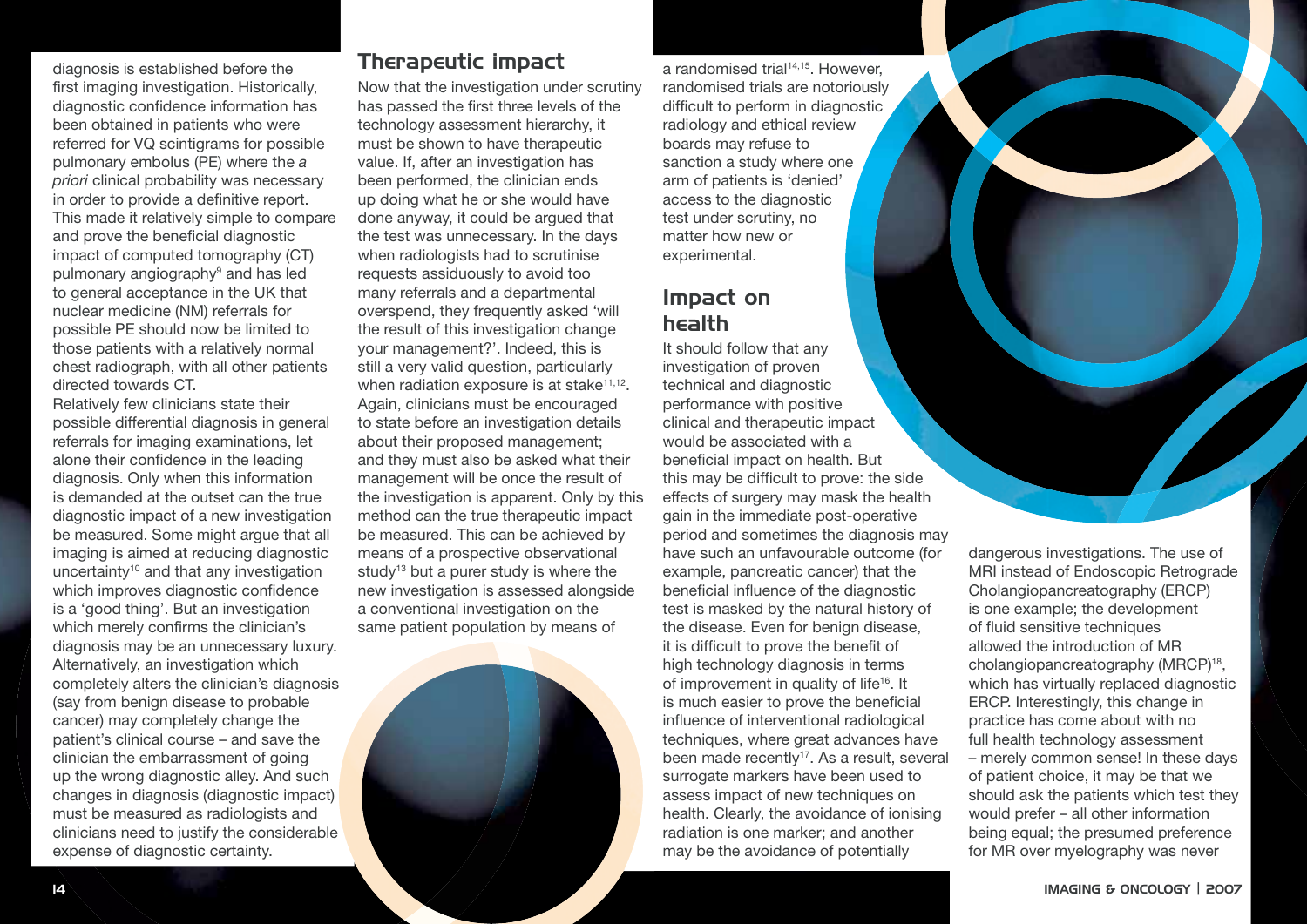diagnosis is established before the first imaging investigation. Historically, diagnostic confidence information has been obtained in patients who were referred for VQ scintigrams for possible pulmonary embolus (PE) where the *a priori* clinical probability was necessary in order to provide a definitive report. This made it relatively simple to compare and prove the beneficial diagnostic impact of computed tomography (CT) pulmonary angiography<sup>9</sup> and has led to general acceptance in the UK that nuclear medicine (NM) referrals for possible PE should now be limited to those patients with a relatively normal chest radiograph, with all other patients directed towards CT.

Relatively few clinicians state their possible differential diagnosis in general referrals for imaging examinations, let alone their confidence in the leading diagnosis. Only when this information is demanded at the outset can the true diagnostic impact of a new investigation be measured. Some might argue that all imaging is aimed at reducing diagnostic uncertainty<sup>10</sup> and that any investigation which improves diagnostic confidence is a 'good thing'. But an investigation which merely confirms the clinician's diagnosis may be an unnecessary luxury. Alternatively, an investigation which completely alters the clinician's diagnosis (say from benign disease to probable cancer) may completely change the patient's clinical course – and save the clinician the embarrassment of going up the wrong diagnostic alley. And such changes in diagnosis (diagnostic impact) must be measured as radiologists and clinicians need to justify the considerable expense of diagnostic certainty.

### Therapeutic impact

Now that the investigation under scrutiny has passed the first three levels of the technology assessment hierarchy, it must be shown to have therapeutic value. If, after an investigation has been performed, the clinician ends up doing what he or she would have done anyway, it could be argued that the test was unnecessary. In the days when radiologists had to scrutinise requests assiduously to avoid too many referrals and a departmental overspend, they frequently asked 'will the result of this investigation change your management?'. Indeed, this is still a very valid question, particularly when radiation exposure is at stake<sup>11,12</sup>. Again, clinicians must be encouraged to state before an investigation details about their proposed management; and they must also be asked what their management will be once the result of the investigation is apparent. Only by this method can the true therapeutic impact be measured. This can be achieved by means of a prospective observational study<sup>13</sup> but a purer study is where the new investigation is assessed alongside a conventional investigation on the same patient population by means of



a randomised trial<sup>14,15</sup>. However, randomised trials are notoriously difficult to perform in diagnostic radiology and ethical review boards may refuse to sanction a study where one arm of patients is 'denied' access to the diagnostic test under scrutiny, no matter how new or experimental.

### Impact on health

It should follow that any investigation of proven technical and diagnostic performance with positive clinical and therapeutic impact would be associated with a beneficial impact on health. But this may be difficult to prove: the side effects of surgery may mask the health gain in the immediate post-operative period and sometimes the diagnosis may have such an unfavourable outcome (for example, pancreatic cancer) that the beneficial influence of the diagnostic test is masked by the natural history of the disease. Even for benign disease, it is difficult to prove the benefit of high technology diagnosis in terms of improvement in quality of life<sup>16</sup>. It is much easier to prove the beneficial influence of interventional radiological techniques, where great advances have been made recently<sup>17</sup>. As a result, several surrogate markers have been used to assess impact of new techniques on health. Clearly, the avoidance of ionising radiation is one marker; and another may be the avoidance of potentially

dangerous investigations. The use of MRI instead of Endoscopic Retrograde Cholangiopancreatography (ERCP) is one example; the development of fluid sensitive techniques allowed the introduction of MR cholangiopancreatography (MRCP)<sup>18</sup>, which has virtually replaced diagnostic ERCP. Interestingly, this change in practice has come about with no full health technology assessment – merely common sense! In these days of patient choice, it may be that we should ask the patients which test they would prefer – all other information being equal; the presumed preference for MR over myelography was never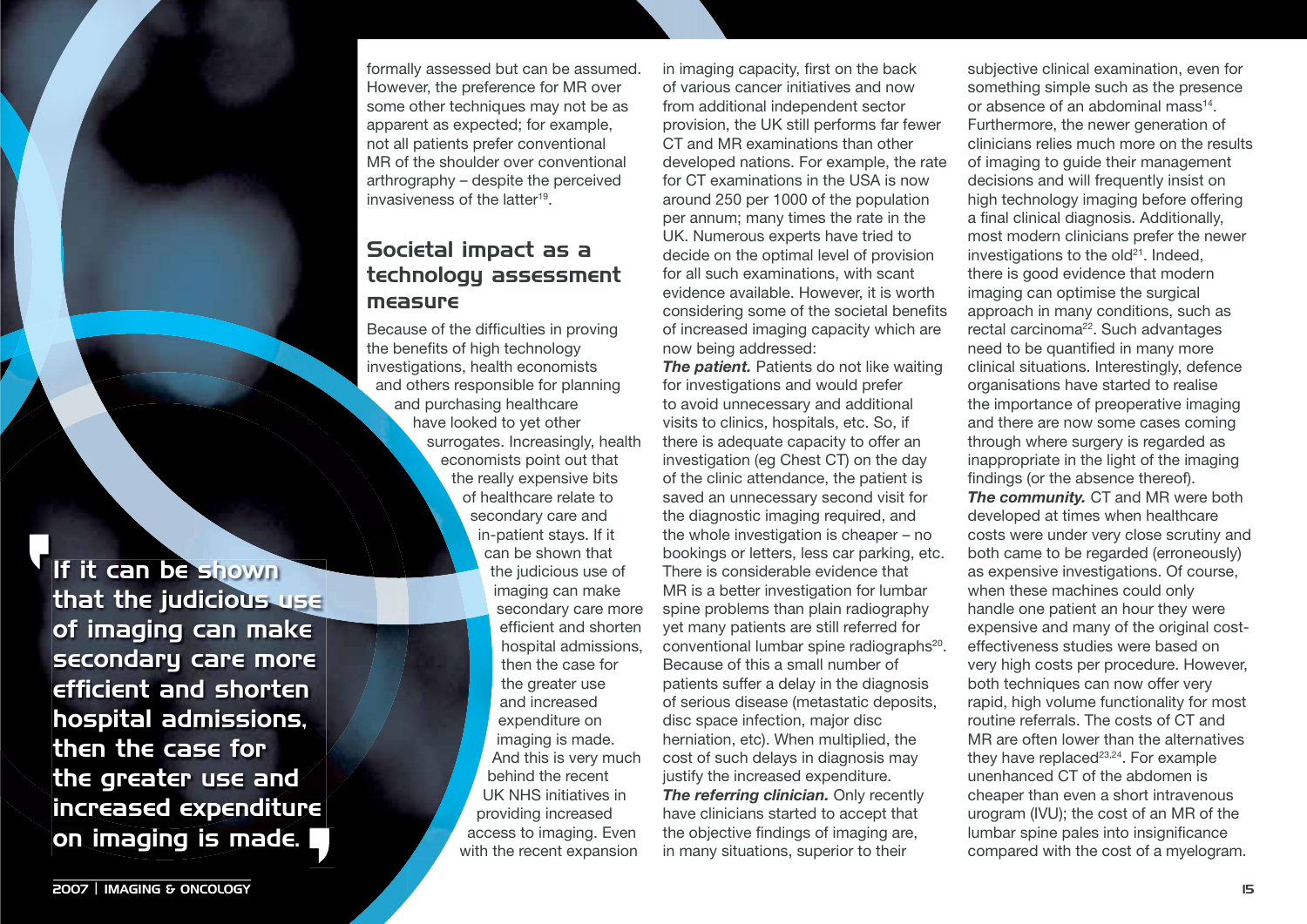If it can be shown that the judicious use of imaging can make secondary care more efficient and shorten hospital admissions, then the case for the greater use and increased expenditure on imaging is made.

formally assessed but can be assumed. However, the preference for MR over some other techniques may not be as apparent as expected; for example, not all patients prefer conventional MR of the shoulder over conventional arthrography – despite the perceived invasiveness of the latter<sup>19</sup>.

# Societal impact as a technology assessment measure

Because of the difficulties in proving the benefits of high technology investigations, health economists and others responsible for planning and purchasing healthcare have looked to yet other surrogates. Increasingly, health economists point out that the really expensive bits of healthcare relate to secondary care and in-patient stays. If it can be shown that the judicious use of imaging can make secondary care more efficient and shorten hospital admissions, then the case for the greater use and increased expenditure on imaging is made. And this is very much behind the recent UK NHS initiatives in providing increased access to imaging. Even with the recent expansion

in imaging capacity, first on the back of various cancer initiatives and now from additional independent sector provision, the UK still performs far fewer CT and MR examinations than other developed nations. For example, the rate for CT examinations in the USA is now around 250 per 1000 of the population per annum; many times the rate in the UK. Numerous experts have tried to decide on the optimal level of provision for all such examinations, with scant evidence available. However, it is worth considering some of the societal benefits of increased imaging capacity which are now being addressed:

**The patient.** Patients do not like waiting for investigations and would prefer to avoid unnecessary and additional visits to clinics, hospitals, etc. So, if there is adequate capacity to offer an investigation (eg Chest CT) on the day of the clinic attendance, the patient is saved an unnecessary second visit for the diagnostic imaging required, and the whole investigation is cheaper – no bookings or letters, less car parking, etc. There is considerable evidence that MR is a better investigation for lumbar spine problems than plain radiography yet many patients are still referred for conventional lumbar spine radiographs<sup>20</sup>. Because of this a small number of patients suffer a delay in the diagnosis of serious disease (metastatic deposits, disc space infection, major disc herniation, etc). When multiplied, the cost of such delays in diagnosis may justify the increased expenditure. *The referring clinician.* Only recently have clinicians started to accept that the objective findings of imaging are. in many situations, superior to their

subjective clinical examination, even for something simple such as the presence or absence of an abdominal mass<sup>14</sup>. Furthermore, the newer generation of clinicians relies much more on the results of imaging to guide their management decisions and will frequently insist on high technology imaging before offering a final clinical diagnosis. Additionally, most modern clinicians prefer the newer investigations to the  $old<sup>21</sup>$ . Indeed, there is good evidence that modern imaging can optimise the surgical approach in many conditions, such as rectal carcinoma<sup>22</sup>. Such advantages need to be quantified in many more clinical situations. Interestingly, defence organisations have started to realise the importance of preoperative imaging and there are now some cases coming through where surgery is regarded as inappropriate in the light of the imaging findings (or the absence thereof). *The community.* CT and MR were both developed at times when healthcare costs were under very close scrutiny and both came to be regarded (erroneously) as expensive investigations. Of course, when these machines could only handle one patient an hour they were expensive and many of the original costeffectiveness studies were based on very high costs per procedure. However, both techniques can now offer very rapid, high volume functionality for most routine referrals. The costs of CT and MR are often lower than the alternatives they have replaced $23,24$ . For example unenhanced CT of the abdomen is cheaper than even a short intravenous urogram (IVU); the cost of an MR of the lumbar spine pales into insignificance compared with the cost of a myelogram.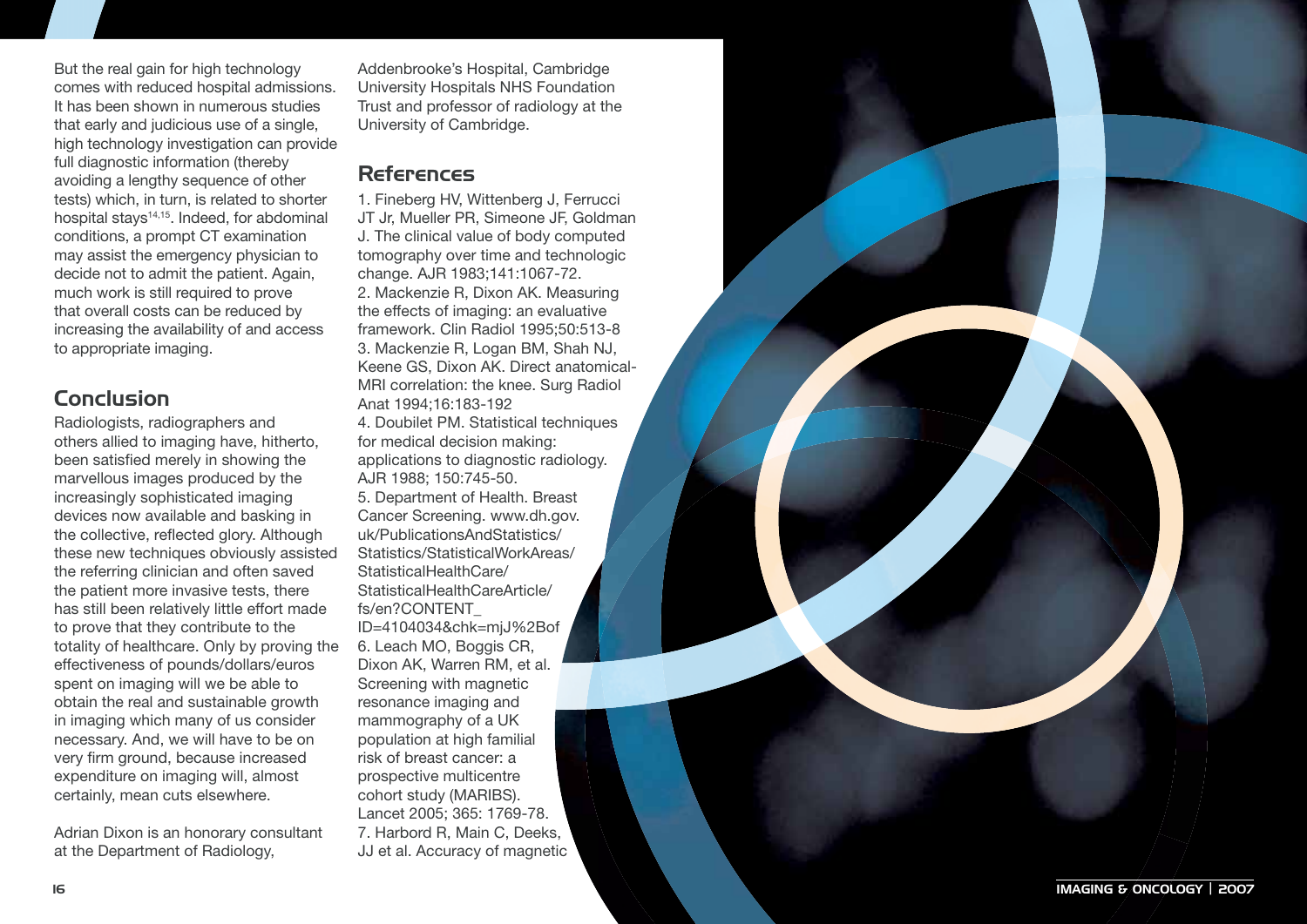But the real gain for high technology comes with reduced hospital admissions. It has been shown in numerous studies that early and judicious use of a single, high technology investigation can provide full diagnostic information (thereby avoiding a lengthy sequence of other tests) which, in turn, is related to shorter hospital stays<sup>14,15</sup>. Indeed, for abdominal conditions, a prompt CT examination may assist the emergency physician to decide not to admit the patient. Again, much work is still required to prove that overall costs can be reduced by increasing the availability of and access to appropriate imaging.

#### Conclusion

Radiologists, radiographers and others allied to imaging have, hitherto, been satisfied merely in showing the marvellous images produced by the increasingly sophisticated imaging devices now available and basking in the collective, reflected glory. Although these new techniques obviously assisted the referring clinician and often saved the patient more invasive tests, there has still been relatively little effort made to prove that they contribute to the totality of healthcare. Only by proving the effectiveness of pounds/dollars/euros spent on imaging will we be able to obtain the real and sustainable growth in imaging which many of us consider necessary. And, we will have to be on very firm ground, because increased expenditure on imaging will, almost certainly, mean cuts elsewhere.

Adrian Dixon is an honorary consultant at the Department of Radiology,

Addenbrooke's Hospital, Cambridge University Hospitals NHS Foundation Trust and professor of radiology at the University of Cambridge.

## References

1. Fineberg HV, Wittenberg J, Ferrucci JT Jr, Mueller PR, Simeone JF, Goldman J. The clinical value of body computed tomography over time and technologic change. AJR 1983;141:1067-72. 2. Mackenzie R, Dixon AK. Measuring the effects of imaging: an evaluative framework. Clin Radiol 1995;50:513-8 3. Mackenzie R, Logan BM, Shah NJ, Keene GS, Dixon AK. Direct anatomical-MRI correlation: the knee. Surg Radiol Anat 1994;16:183-192 4. Doubilet PM. Statistical techniques for medical decision making: applications to diagnostic radiology. AJR 1988; 150:745-50. 5. Department of Health. Breast Cancer Screening. www.dh.gov. uk/PublicationsAndStatistics/ Statistics/StatisticalWorkAreas/ StatisticalHealthCare/ StatisticalHealthCareArticle/ fs/en?CONTENT\_ ID=4104034&chk=mjJ%2Bof 6. Leach MO, Boggis CR, Dixon AK, Warren RM, et al. Screening with magnetic resonance imaging and mammography of a UK population at high familial risk of breast cancer: a prospective multicentre cohort study (MARIBS). Lancet 2005; 365: 1769-78. 7. Harbord R, Main C, Deeks, JJ et al. Accuracy of magnetic